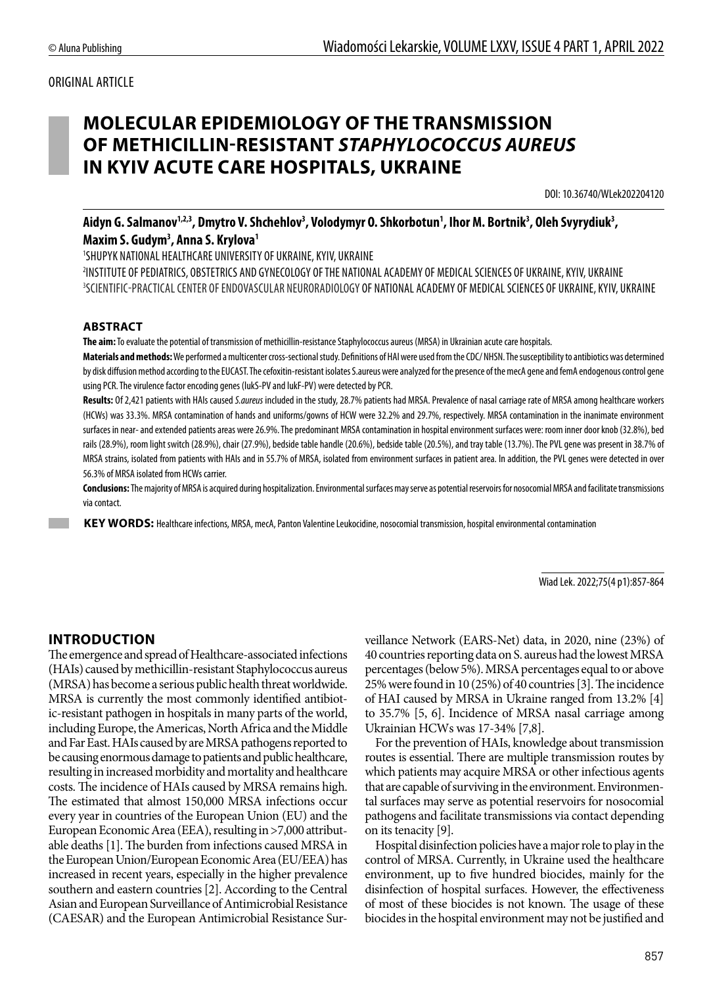#### ORIGINAL ARTICLE

# **MOLECULAR EPIDEMIOLOGY OF THE TRANSMISSION OF METHICILLIN-RESISTANT** *STAPHYLOCOCCUS AUREUS* **IN KYIV ACUTE CARE HOSPITALS, UKRAINE**

DOI: 10.36740/WLek202204120

# Aidyn G. Salmanov<sup>1,2,3</sup>, Dmytro V. Shchehlov<sup>3</sup>, Volodymyr O. Shkorbotun<sup>1</sup>, Ihor M. Bortnik<sup>3</sup>, Oleh Svyrydiuk<sup>3</sup>, **Maxim S. Gudym3 , Anna S. Krylova1**

1 SHUPYK NATIONAL HEALTHCARE UNIVERSITY OF UKRAINE, KYIV, UKRAINE

2 INSTITUTE OF PEDIATRICS, OBSTETRICS AND GYNECOLOGY OF THE NATIONAL ACADEMY OF MEDICAL SCIENCES OF UKRAINE, KYIV, UKRAINE 3 SCIENTIFIC-PRACTICAL CENTER OF ENDOVASCULAR NEURORADIOLOGY OF NATIONAL ACADEMY OF MEDICAL SCIENCES OF UKRAINE, KYIV, UKRAINE

#### **ABSTRACT**

**The aim:** To evaluate the potential of transmission of methicillin-resistance Staphylococcus aureus (MRSA) in Ukrainian acute care hospitals.

**Materials and methods:** We performed a multicenter cross-sectional study. Definitions of HAI were used from the CDC/ NHSN. The susceptibility to antibiotics was determined by disk diffusion method according to the EUCAST. The cefoxitin-resistant isolates S.aureus were analyzed for the presence of the mecA gene and femA endogenous control gene using PCR. The virulence factor encoding genes (lukS-PV and lukF-PV) were detected by PCR.

**Results:** Of 2,421 patients with HAIs caused *S.aureus* included in the study, 28.7% patients had MRSA. Prevalence of nasal carriage rate of MRSA among healthcare workers (HCWs) was 33.3%. MRSA contamination of hands and uniforms/gowns of HCW were 32.2% and 29.7%, respectively. MRSA contamination in the inanimate environment surfaces in near- and extended patients areas were 26.9%. The predominant MRSA contamination in hospital environment surfaces were: room inner door knob (32.8%), bed rails (28.9%), room light switch (28.9%), chair (27.9%), bedside table handle (20.6%), bedside table (20.5%), and tray table (13.7%). The PVL gene was present in 38.7% of MRSA strains, isolated from patients with HAIs and in 55.7% of MRSA, isolated from environment surfaces in patient area. In addition, the PVL genes were detected in over 56.3% of MRSA isolated from HCWs carrier.

**Conclusions:** The majority of MRSA is acquired during hospitalization. Environmental surfaces may serve as potential reservoirs for nosocomial MRSA and facilitate transmissions via contact.

**KEY WORDS:** Healthcare infections, MRSA, mecA, Panton Valentine Leukocidine, nosocomial transmission, hospital environmental contamination

Wiad Lek. 2022;75(4 p1):857-864

#### **INTRODUCTION**

The emergence and spread of Healthcare-associated infections (HAIs) caused by methicillin-resistant Staphylococcus aureus (MRSA) has become a serious public health threat worldwide. MRSA is currently the most commonly identified antibiotic-resistant pathogen in hospitals in many parts of the world, including Europe, the Americas, North Africa and the Middle and Far East. HAIs caused by are MRSA pathogens reported to be causing enormous damage to patients and public healthcare, resulting in increased morbidity and mortality and healthcare costs. The incidence of HAIs caused by MRSA remains high. The estimated that almost 150,000 MRSA infections occur every year in countries of the European Union (EU) and the European Economic Area (EEA), resulting in >7,000 attributable deaths [1]. The burden from infections caused MRSA in the European Union/European Economic Area (EU/EEA) has increased in recent years, especially in the higher prevalence southern and eastern countries [2]. According to the Central Asian and European Surveillance of Antimicrobial Resistance (CAESAR) and the European Antimicrobial Resistance Surveillance Network (EARS-Net) data, in 2020, nine (23%) of 40 countries reporting data on S. aureus had the lowest MRSA percentages (below 5%). MRSA percentages equal to or above 25% were found in 10 (25%) of 40 countries [3]. The incidence of HAI caused by MRSA in Ukraine ranged from 13.2% [4] to 35.7% [5, 6]. Incidence of MRSA nasal carriage among Ukrainian HCWs was 17-34% [7,8].

For the prevention of HAIs, knowledge about transmission routes is essential. There are multiple transmission routes by which patients may acquire MRSA or other infectious agents that are capable of surviving in the environment. Environmental surfaces may serve as potential reservoirs for nosocomial pathogens and facilitate transmissions via contact depending on its tenacity [9].

Hospital disinfection policies have a major role to play in the control of MRSA. Currently, in Ukraine used the healthcare environment, up to five hundred biocides, mainly for the disinfection of hospital surfaces. However, the effectiveness of most of these biocides is not known. The usage of these biocides in the hospital environment may not be justified and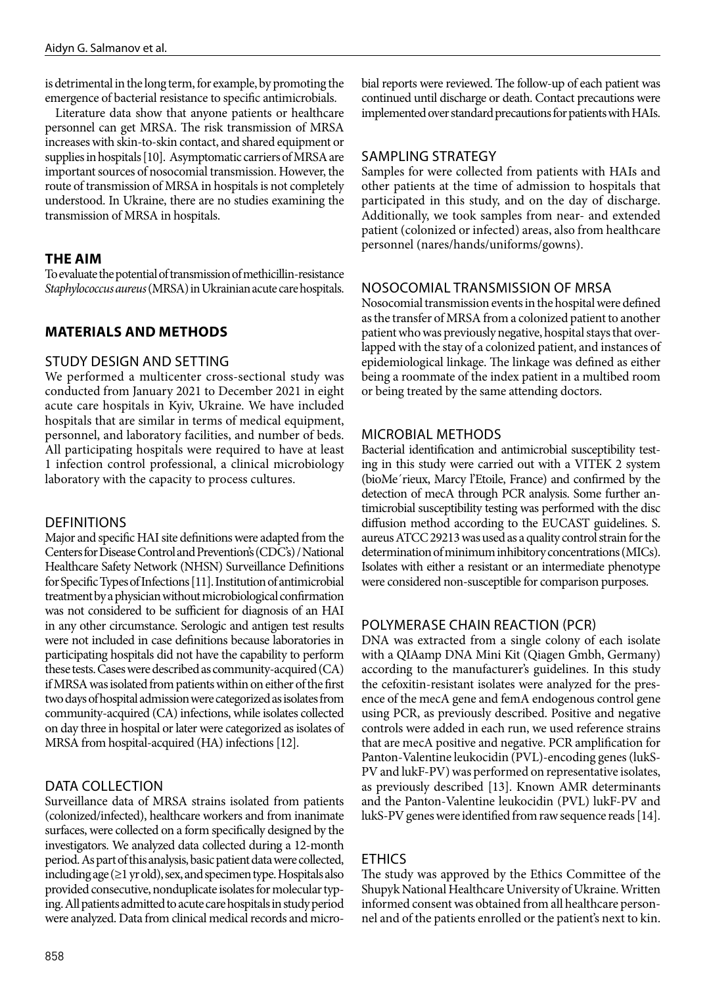is detrimental in the long term, for example, by promoting the emergence of bacterial resistance to specific antimicrobials.

Literature data show that anyone patients or healthcare personnel can get MRSA. The risk transmission of MRSA increases with skin-to-skin contact, and shared equipment or supplies in hospitals [10]. Asymptomatic carriers of MRSA are important sources of nosocomial transmission. However, the route of transmission of MRSA in hospitals is not completely understood. In Ukraine, there are no studies examining the transmission of MRSA in hospitals.

# **THE AIM**

To evaluate the potential of transmission of methicillin-resistance *Staphylococcus aureus* (MRSA) in Ukrainian acute care hospitals.

# **MATERIALS AND METHODS**

# STUDY DESIGN AND SETTING

We performed a multicenter cross-sectional study was conducted from January 2021 to December 2021 in eight acute care hospitals in Kyiv, Ukraine. We have included hospitals that are similar in terms of medical equipment, personnel, and laboratory facilities, and number of beds. All participating hospitals were required to have at least 1 infection control professional, a clinical microbiology laboratory with the capacity to process cultures.

#### **DEFINITIONS**

Major and specific HAI site definitions were adapted from the Centers for Disease Control and Prevention's (CDC's) / National Healthcare Safety Network (NHSN) Surveillance Definitions for Specific Types of Infections [11]. Institution of antimicrobial treatment by a physician without microbiological confirmation was not considered to be sufficient for diagnosis of an HAI in any other circumstance. Serologic and antigen test results were not included in case definitions because laboratories in participating hospitals did not have the capability to perform these tests. Cases were described as community-acquired (CA) if MRSA was isolated from patients within on either of the first two days of hospital admission were categorized as isolates from community-acquired (CA) infections, while isolates collected on day three in hospital or later were categorized as isolates of MRSA from hospital-acquired (HA) infections [12].

# DATA COLLECTION

Surveillance data of MRSA strains isolated from patients (colonized/infected), healthcare workers and from inanimate surfaces, were collected on a form specifically designed by the investigators. We analyzed data collected during a 12-month period. As part of this analysis, basic patient data were collected, including age  $(\geq 1 \text{ yr old})$ , sex, and specimen type. Hospitals also provided consecutive, nonduplicate isolates for molecular typing. All patients admitted to acute care hospitals in study period were analyzed. Data from clinical medical records and microbial reports were reviewed. The follow-up of each patient was continued until discharge or death. Contact precautions were implemented over standard precautions for patients with HAIs.

# SAMPLING STRATEGY

Samples for were collected from patients with HAIs and other patients at the time of admission to hospitals that participated in this study, and on the day of discharge. Additionally, we took samples from near- and extended patient (colonized or infected) areas, also from healthcare personnel (nares/hands/uniforms/gowns).

# NOSOCOMIAL TRANSMISSION OF MRSA

Nosocomial transmission events in the hospital were defined as the transfer of MRSA from a colonized patient to another patient who was previously negative, hospital stays that overlapped with the stay of a colonized patient, and instances of epidemiological linkage. The linkage was defined as either being a roommate of the index patient in a multibed room or being treated by the same attending doctors.

# MICROBIAL METHODS

Bacterial identification and antimicrobial susceptibility testing in this study were carried out with a VITEK 2 system (bioMe´rieux, Marcy l'Etoile, France) and confirmed by the detection of mecA through PCR analysis. Some further antimicrobial susceptibility testing was performed with the disc diffusion method according to the EUCAST guidelines. S. aureus ATCC 29213 was used as a quality control strain for the determination of minimum inhibitory concentrations (MICs). Isolates with either a resistant or an intermediate phenotype were considered non-susceptible for comparison purposes.

# POLYMERASE CHAIN REACTION (PCR)

DNA was extracted from a single colony of each isolate with a QIAamp DNA Mini Kit (Qiagen Gmbh, Germany) according to the manufacturer's guidelines. In this study the cefoxitin-resistant isolates were analyzed for the presence of the mecA gene and femA endogenous control gene using PCR, as previously described. Positive and negative controls were added in each run, we used reference strains that are mecA positive and negative. PCR amplification for Panton-Valentine leukocidin (PVL)-encoding genes (lukS-PV and lukF-PV) was performed on representative isolates, as previously described [13]. Known AMR determinants and the Panton-Valentine leukocidin (PVL) lukF-PV and lukS-PV genes were identified from raw sequence reads [14].

# ETHICS

The study was approved by the Ethics Committee of the Shupyk National Healthcare University of Ukraine. Written informed consent was obtained from all healthcare personnel and of the patients enrolled or the patient's next to kin.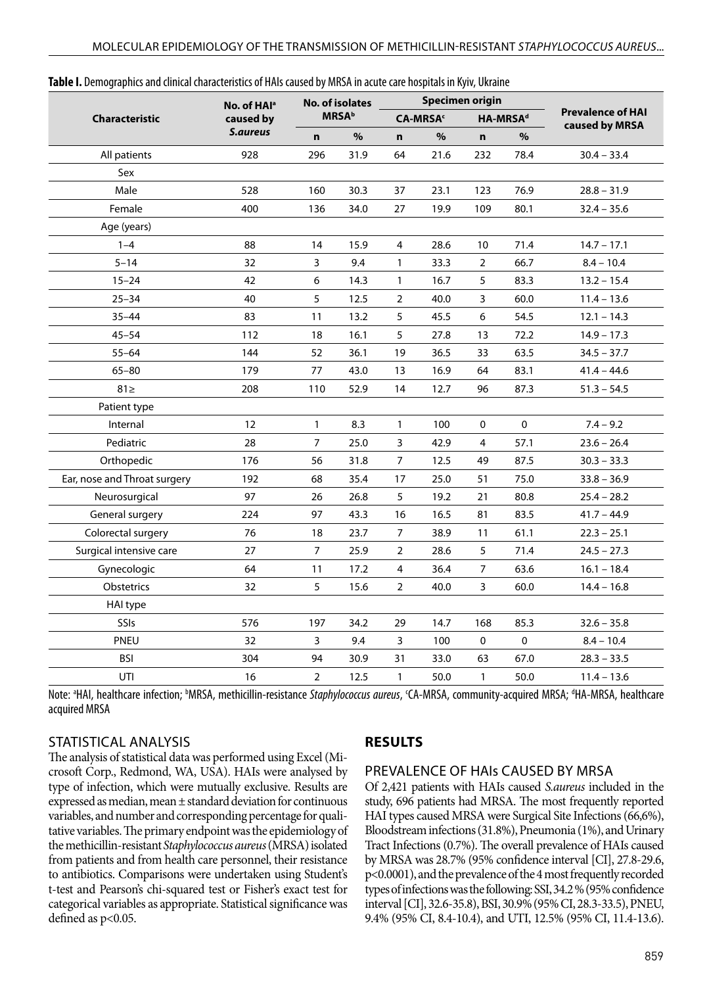| <b>Characteristic</b>        | No. of HAI <sup>a</sup> | <b>No. of isolates</b><br><b>MRSA</b> <sup>b</sup> |      | Specimen origin             |      |                      |           |                          |  |
|------------------------------|-------------------------|----------------------------------------------------|------|-----------------------------|------|----------------------|-----------|--------------------------|--|
|                              | caused by               |                                                    |      | <b>CA-MRSA</b> <sup>c</sup> |      | HA-MRSA <sup>d</sup> |           | <b>Prevalence of HAI</b> |  |
|                              | S.aureus                | $\mathbf n$                                        | %    | $\mathbf n$                 | $\%$ | n.                   | $\%$      | caused by MRSA           |  |
| All patients                 | 928                     | 296                                                | 31.9 | 64                          | 21.6 | 232                  | 78.4      | $30.4 - 33.4$            |  |
| Sex                          |                         |                                                    |      |                             |      |                      |           |                          |  |
| Male                         | 528                     | 160                                                | 30.3 | 37                          | 23.1 | 123                  | 76.9      | $28.8 - 31.9$            |  |
| Female                       | 400                     | 136                                                | 34.0 | 27                          | 19.9 | 109                  | 80.1      | $32.4 - 35.6$            |  |
| Age (years)                  |                         |                                                    |      |                             |      |                      |           |                          |  |
| $1 - 4$                      | 88                      | 14                                                 | 15.9 | 4                           | 28.6 | 10                   | 71.4      | $14.7 - 17.1$            |  |
| $5 - 14$                     | 32                      | 3                                                  | 9.4  | $\mathbf{1}$                | 33.3 | $\overline{2}$       | 66.7      | $8.4 - 10.4$             |  |
| $15 - 24$                    | 42                      | 6                                                  | 14.3 | $\mathbf{1}$                | 16.7 | 5                    | 83.3      | $13.2 - 15.4$            |  |
| $25 - 34$                    | 40                      | 5                                                  | 12.5 | $\overline{2}$              | 40.0 | 3                    | 60.0      | $11.4 - 13.6$            |  |
| $35 - 44$                    | 83                      | 11                                                 | 13.2 | 5                           | 45.5 | 6                    | 54.5      | $12.1 - 14.3$            |  |
| $45 - 54$                    | 112                     | 18                                                 | 16.1 | 5                           | 27.8 | 13                   | 72.2      | $14.9 - 17.3$            |  |
| $55 - 64$                    | 144                     | 52                                                 | 36.1 | 19                          | 36.5 | 33                   | 63.5      | $34.5 - 37.7$            |  |
| $65 - 80$                    | 179                     | 77                                                 | 43.0 | 13                          | 16.9 | 64                   | 83.1      | $41.4 - 44.6$            |  |
| $81 \geq$                    | 208                     | 110                                                | 52.9 | 14                          | 12.7 | 96                   | 87.3      | $51.3 - 54.5$            |  |
| Patient type                 |                         |                                                    |      |                             |      |                      |           |                          |  |
| Internal                     | 12                      | $\mathbf{1}$                                       | 8.3  | $\mathbf{1}$                | 100  | $\Omega$             | $\Omega$  | $7.4 - 9.2$              |  |
| Pediatric                    | 28                      | $\overline{7}$                                     | 25.0 | 3                           | 42.9 | $\overline{4}$       | 57.1      | $23.6 - 26.4$            |  |
| Orthopedic                   | 176                     | 56                                                 | 31.8 | $\overline{7}$              | 12.5 | 49                   | 87.5      | $30.3 - 33.3$            |  |
| Ear, nose and Throat surgery | 192                     | 68                                                 | 35.4 | 17                          | 25.0 | 51                   | 75.0      | $33.8 - 36.9$            |  |
| Neurosurgical                | 97                      | 26                                                 | 26.8 | 5                           | 19.2 | 21                   | 80.8      | $25.4 - 28.2$            |  |
| General surgery              | 224                     | 97                                                 | 43.3 | 16                          | 16.5 | 81                   | 83.5      | $41.7 - 44.9$            |  |
| Colorectal surgery           | 76                      | 18                                                 | 23.7 | $\overline{7}$              | 38.9 | 11                   | 61.1      | $22.3 - 25.1$            |  |
| Surgical intensive care      | 27                      | $\overline{7}$                                     | 25.9 | $\overline{2}$              | 28.6 | 5                    | 71.4      | $24.5 - 27.3$            |  |
| Gynecologic                  | 64                      | 11                                                 | 17.2 | 4                           | 36.4 | $\overline{7}$       | 63.6      | $16.1 - 18.4$            |  |
| <b>Obstetrics</b>            | 32                      | 5                                                  | 15.6 | $\overline{2}$              | 40.0 | 3                    | 60.0      | $14.4 - 16.8$            |  |
| HAI type                     |                         |                                                    |      |                             |      |                      |           |                          |  |
| SSIs                         | 576                     | 197                                                | 34.2 | 29                          | 14.7 | 168                  | 85.3      | $32.6 - 35.8$            |  |
| PNEU                         | 32                      | 3                                                  | 9.4  | 3                           | 100  | 0                    | $\pmb{0}$ | $8.4 - 10.4$             |  |
| <b>BSI</b>                   | 304                     | 94                                                 | 30.9 | 31                          | 33.0 | 63                   | 67.0      | $28.3 - 33.5$            |  |
| UTI                          | 16                      | $\overline{2}$                                     | 12.5 | 1                           | 50.0 | $\mathbf{1}$         | 50.0      | $11.4 - 13.6$            |  |

#### **Table I.** Demographics and clinical characteristics of HAIs caused by MRSA in acute care hospitals in Kyiv, Ukraine

Note: <sup>a</sup>HAI, healthcare infection; <sup>b</sup>MRSA, methicillin-resistance Staphylococcus aureus, CA-MRSA, community-acquired MRSA; <sup>a</sup>HA-MRSA, healthcare acquired MRSA

#### STATISTICAL ANALYSIS

#### **RESULTS**

PREVALENCE OF HAIs CAUSED BY MRSA

The analysis of statistical data was performed using Excel (Microsoft Corp., Redmond, WA, USA). HAIs were analysed by type of infection, which were mutually exclusive. Results are expressed as median, mean ± standard deviation for continuous variables, and number and corresponding percentage for qualitative variables. The primary endpoint was the epidemiology of the methicillin-resistant *Staphylococcus aureus* (MRSA) isolated from patients and from health care personnel, their resistance to antibiotics. Comparisons were undertaken using Student's t-test and Pearson's chi-squared test or Fisher's exact test for categorical variables as appropriate. Statistical significance was defined as  $p<0.05$ .

Of 2,421 patients with HAIs caused *S.aureus* included in the study, 696 patients had MRSA. The most frequently reported HAI types caused MRSA were Surgical Site Infections (66,6%), Bloodstream infections (31.8%), Pneumonia (1%), and Urinary Tract Infections (0.7%). The overall prevalence of HAIs caused by MRSA was 28.7% (95% confidence interval [CI], 27.8-29.6, p<0.0001), and the prevalence of the 4 most frequently recorded types of infections was the following: SSI, 34.2 % (95% confidence interval [CI], 32.6-35.8), BSI, 30.9% (95% CI, 28.3-33.5), PNEU, 9.4% (95% CI, 8.4-10.4), and UTI, 12.5% (95% CI, 11.4-13.6).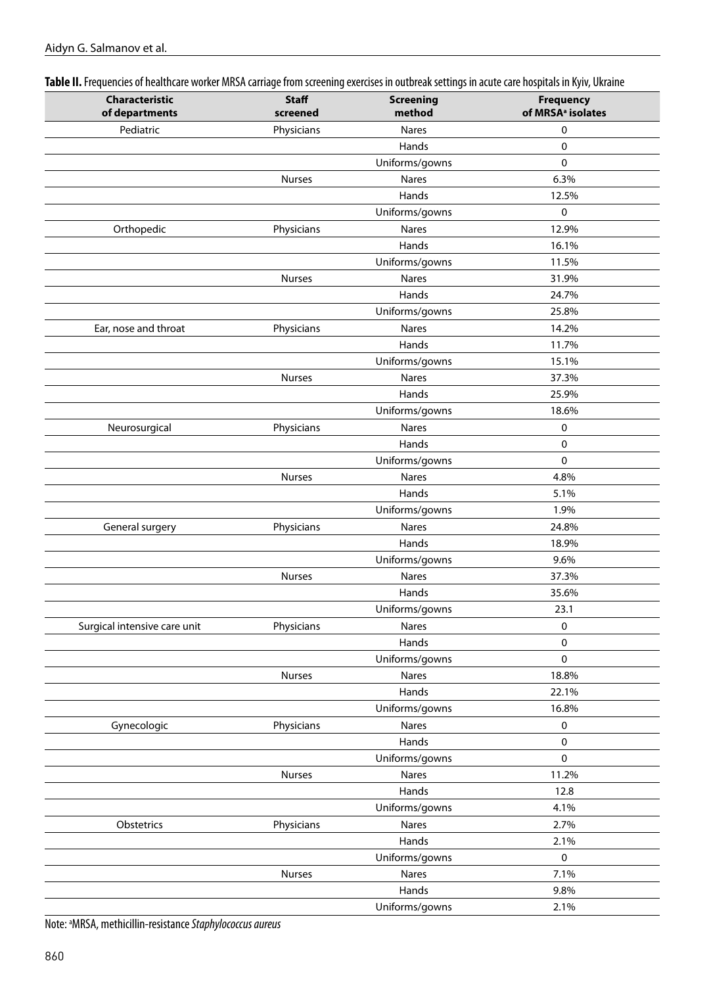| Table II. Frequencies of healthcare worker MRSA carriage from screening exercises in outbreak settings in acute care hospitals in Kyiv, Ukraine |  |  |
|-------------------------------------------------------------------------------------------------------------------------------------------------|--|--|
|                                                                                                                                                 |  |  |

| Characteristic<br>of departments | <b>Staff</b><br>screened | <b>Screening</b><br>method | <b>Frequency</b><br>of MRSA <sup>a</sup> isolates |
|----------------------------------|--------------------------|----------------------------|---------------------------------------------------|
| Pediatric                        | Physicians               | <b>Nares</b>               | 0                                                 |
|                                  |                          | Hands                      | 0                                                 |
|                                  |                          | Uniforms/gowns             | 0                                                 |
|                                  | Nurses                   | Nares                      | 6.3%                                              |
|                                  |                          | Hands                      | 12.5%                                             |
|                                  |                          | Uniforms/gowns             | 0                                                 |
| Orthopedic                       | Physicians               | Nares                      | 12.9%                                             |
|                                  |                          | Hands                      | 16.1%                                             |
|                                  |                          | Uniforms/gowns             | 11.5%                                             |
|                                  | <b>Nurses</b>            | Nares                      | 31.9%                                             |
|                                  |                          | Hands                      | 24.7%                                             |
|                                  |                          | Uniforms/gowns             | 25.8%                                             |
| Ear, nose and throat             | Physicians               | Nares                      | 14.2%                                             |
|                                  |                          | Hands                      | 11.7%                                             |
|                                  |                          | Uniforms/gowns             | 15.1%                                             |
|                                  | <b>Nurses</b>            | Nares                      | 37.3%                                             |
|                                  |                          | Hands                      | 25.9%                                             |
|                                  |                          | Uniforms/gowns             | 18.6%                                             |
| Neurosurgical                    | Physicians               | Nares                      | 0                                                 |
|                                  |                          | Hands                      | 0                                                 |
|                                  |                          | Uniforms/gowns             | 0                                                 |
|                                  | <b>Nurses</b>            | Nares                      | 4.8%                                              |
|                                  |                          | Hands                      | 5.1%                                              |
|                                  |                          | Uniforms/gowns             | 1.9%                                              |
| General surgery                  | Physicians               | Nares                      | 24.8%                                             |
|                                  |                          | Hands                      | 18.9%                                             |
|                                  |                          | Uniforms/gowns             | 9.6%                                              |
|                                  | Nurses                   | Nares                      | 37.3%                                             |
|                                  |                          | Hands                      | 35.6%                                             |
|                                  |                          | Uniforms/gowns             | 23.1                                              |
| Surgical intensive care unit     | Physicians               | Nares                      | 0                                                 |
|                                  |                          | Hands                      | 0                                                 |
|                                  |                          | Uniforms/gowns             | 0                                                 |
|                                  | Nurses                   | Nares                      | 18.8%                                             |
|                                  |                          | Hands                      | 22.1%                                             |
|                                  |                          | Uniforms/gowns             | 16.8%                                             |
| Gynecologic                      | Physicians               | Nares                      | 0                                                 |
|                                  |                          | Hands                      | 0                                                 |
|                                  |                          | Uniforms/gowns             | 0                                                 |
|                                  | Nurses                   | Nares                      | 11.2%                                             |
|                                  |                          | Hands                      | 12.8                                              |
|                                  |                          | Uniforms/gowns             | 4.1%                                              |
| Obstetrics                       | Physicians               | Nares                      | 2.7%                                              |
|                                  |                          | Hands                      | 2.1%                                              |
|                                  |                          | Uniforms/gowns             | 0                                                 |
|                                  | Nurses                   | Nares                      | 7.1%                                              |
|                                  |                          | Hands                      | 9.8%                                              |
|                                  |                          | Uniforms/gowns             | 2.1%                                              |
|                                  |                          |                            |                                                   |

Note: a MRSA, methicillin-resistance *Staphylococcus aureus*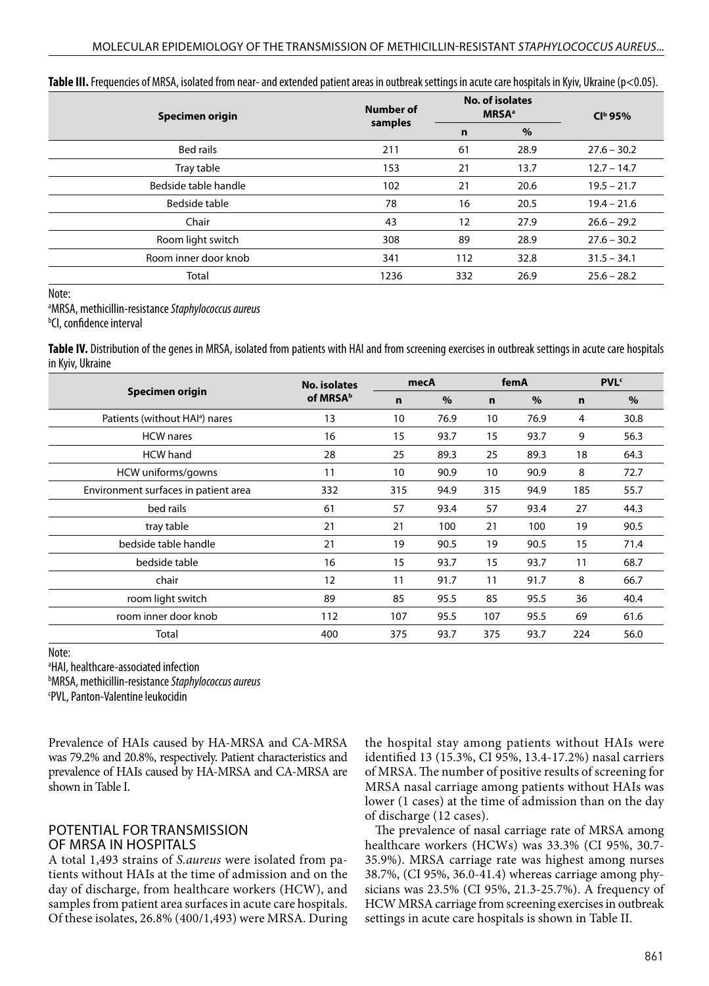| Specimen origin      | Number of |     | No. of isolates<br><b>MRSA</b> <sup>a</sup> | $Clb$ 95%     |  |
|----------------------|-----------|-----|---------------------------------------------|---------------|--|
|                      | samples   | n   | %                                           |               |  |
| Bed rails            | 211       | 61  | 28.9                                        | $27.6 - 30.2$ |  |
| Tray table           | 153       | 21  | 13.7                                        | $12.7 - 14.7$ |  |
| Bedside table handle | 102       | 21  | 20.6                                        | $19.5 - 21.7$ |  |
| Bedside table        | 78        | 16  | 20.5                                        | $19.4 - 21.6$ |  |
| Chair                | 43        | 12  | 27.9                                        | $26.6 - 29.2$ |  |
| Room light switch    | 308       | 89  | 28.9                                        | $27.6 - 30.2$ |  |
| Room inner door knob | 341       | 112 | 32.8                                        | $31.5 - 34.1$ |  |
| Total                | 1236      | 332 | 26.9                                        | $25.6 - 28.2$ |  |

**Table III.** Frequencies of MRSA, isolated from near- and extended patient areas in outbreak settings in acute care hospitals in Kyiv, Ukraine (p<0.05).

Note:

a MRSA, methicillin-resistance *Staphylococcus aureus*

b CI, confidence interval

**Table IV.** Distribution of the genes in MRSA, isolated from patients with HAI and from screening exercises in outbreak settings in acute care hospitals in Kyiv, Ukraine

|                                            | <b>No. isolates</b>  | mecA        |      | femA        |      | <b>PVL</b> <sup>c</sup> |      |
|--------------------------------------------|----------------------|-------------|------|-------------|------|-------------------------|------|
| Specimen origin                            | of MRSA <sup>b</sup> | $\mathbf n$ | $\%$ | $\mathbf n$ | $\%$ | $\mathbf n$             | $\%$ |
| Patients (without HAI <sup>a</sup> ) nares | 13                   | 10          | 76.9 | 10          | 76.9 | 4                       | 30.8 |
| <b>HCW</b> nares                           | 16                   | 15          | 93.7 | 15          | 93.7 | 9                       | 56.3 |
| <b>HCW</b> hand                            | 28                   | 25          | 89.3 | 25          | 89.3 | 18                      | 64.3 |
| HCW uniforms/gowns                         | 11                   | 10          | 90.9 | 10          | 90.9 | 8                       | 72.7 |
| Environment surfaces in patient area       | 332                  | 315         | 94.9 | 315         | 94.9 | 185                     | 55.7 |
| bed rails                                  | 61                   | 57          | 93.4 | 57          | 93.4 | 27                      | 44.3 |
| tray table                                 | 21                   | 21          | 100  | 21          | 100  | 19                      | 90.5 |
| bedside table handle                       | 21                   | 19          | 90.5 | 19          | 90.5 | 15                      | 71.4 |
| bedside table                              | 16                   | 15          | 93.7 | 15          | 93.7 | 11                      | 68.7 |
| chair                                      | 12                   | 11          | 91.7 | 11          | 91.7 | 8                       | 66.7 |
| room light switch                          | 89                   | 85          | 95.5 | 85          | 95.5 | 36                      | 40.4 |
| room inner door knob                       | 112                  | 107         | 95.5 | 107         | 95.5 | 69                      | 61.6 |
| Total                                      | 400                  | 375         | 93.7 | 375         | 93.7 | 224                     | 56.0 |

Note:

a HAI, healthcare-associated infection

b MRSA, methicillin-resistance *Staphylococcus aureus*

c PVL, Panton-Valentine leukocidin

Prevalence of HAIs caused by HA-MRSA and CA-MRSA was 79.2% and 20.8%, respectively. Patient characteristics and prevalence of HAIs caused by HA-MRSA and CA-MRSA are shown in Table I.

# POTENTIAL FOR TRANSMISSION OF MRSA IN HOSPITALS

A total 1,493 strains of *S.aureus* were isolated from patients without HAIs at the time of admission and on the day of discharge, from healthcare workers (HCW), and samples from patient area surfaces in acute care hospitals. Of these isolates, 26.8% (400/1,493) were MRSA. During the hospital stay among patients without HAIs were identified 13 (15.3%, CI 95%, 13.4-17.2%) nasal carriers of MRSA. The number of positive results of screening for MRSA nasal carriage among patients without HAIs was lower (1 cases) at the time of admission than on the day of discharge (12 cases).

The prevalence of nasal carriage rate of MRSA among healthcare workers (HCWs) was 33.3% (CI 95%, 30.7- 35.9%). MRSA carriage rate was highest among nurses 38.7%, (CI 95%, 36.0-41.4) whereas carriage among physicians was 23.5% (CI 95%, 21.3-25.7%). A frequency of HCW MRSA carriage from screening exercises in outbreak settings in acute care hospitals is shown in Table II.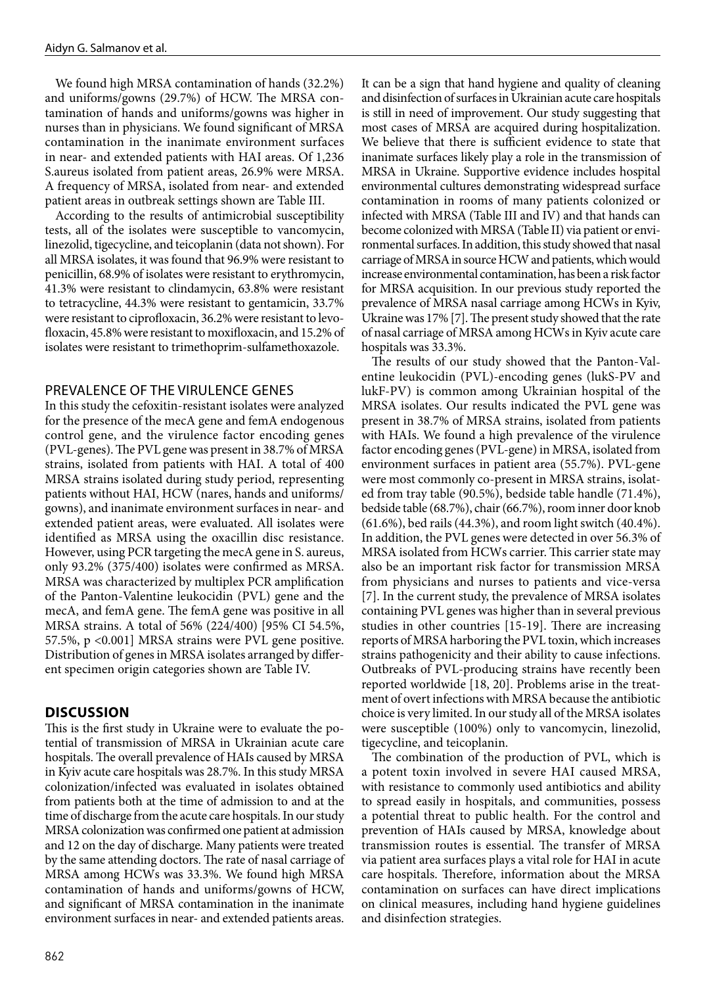We found high MRSA contamination of hands (32.2%) and uniforms/gowns (29.7%) of HCW. The MRSA contamination of hands and uniforms/gowns was higher in nurses than in physicians. We found significant of MRSA contamination in the inanimate environment surfaces in near- and extended patients with HAI areas. Of 1,236 S.aureus isolated from patient areas, 26.9% were MRSA. A frequency of MRSA, isolated from near- and extended patient areas in outbreak settings shown are Table III.

According to the results of antimicrobial susceptibility tests, all of the isolates were susceptible to vancomycin, linezolid, tigecycline, and teicoplanin (data not shown). For all MRSA isolates, it was found that 96.9% were resistant to penicillin, 68.9% of isolates were resistant to erythromycin, 41.3% were resistant to clindamycin, 63.8% were resistant to tetracycline, 44.3% were resistant to gentamicin, 33.7% were resistant to ciprofloxacin, 36.2% were resistant to levofloxacin, 45.8% were resistant to moxifloxacin, and 15.2% of isolates were resistant to trimethoprim-sulfamethoxazole.

#### PREVALENCE OF THE VIRULENCE GENES

In this study the cefoxitin-resistant isolates were analyzed for the presence of the mecA gene and femA endogenous control gene, and the virulence factor encoding genes (PVL-genes). The PVL gene was present in 38.7% of MRSA strains, isolated from patients with HAI. A total of 400 MRSA strains isolated during study period, representing patients without HAI, HCW (nares, hands and uniforms/ gowns), and inanimate environment surfaces in near- and extended patient areas, were evaluated. All isolates were identified as MRSA using the oxacillin disc resistance. However, using PCR targeting the mecA gene in S. aureus, only 93.2% (375/400) isolates were confirmed as MRSA. MRSA was characterized by multiplex PCR amplification of the Panton-Valentine leukocidin (PVL) gene and the mecA, and femA gene. The femA gene was positive in all MRSA strains. A total of 56% (224/400) [95% CI 54.5%, 57.5%, p <0.001] MRSA strains were PVL gene positive. Distribution of genes in MRSA isolates arranged by different specimen origin categories shown are Table IV.

#### **DISCUSSION**

This is the first study in Ukraine were to evaluate the potential of transmission of MRSA in Ukrainian acute care hospitals. The overall prevalence of HAIs caused by MRSA in Kyiv acute care hospitals was 28.7%. In this study MRSA colonization/infected was evaluated in isolates obtained from patients both at the time of admission to and at the time of discharge from the acute care hospitals. In our study MRSA colonization was confirmed one patient at admission and 12 on the day of discharge. Many patients were treated by the same attending doctors. The rate of nasal carriage of MRSA among HCWs was 33.3%. We found high MRSA contamination of hands and uniforms/gowns of HCW, and significant of MRSA contamination in the inanimate environment surfaces in near- and extended patients areas.

It can be a sign that hand hygiene and quality of cleaning and disinfection of surfaces in Ukrainian acute care hospitals is still in need of improvement. Our study suggesting that most cases of MRSA are acquired during hospitalization. We believe that there is sufficient evidence to state that inanimate surfaces likely play a role in the transmission of MRSA in Ukraine. Supportive evidence includes hospital environmental cultures demonstrating widespread surface contamination in rooms of many patients colonized or infected with MRSA (Table III and IV) and that hands can become colonized with MRSA (Table II) via patient or environmental surfaces. In addition, this study showed that nasal carriage of MRSA in source HCW and patients, which would increase environmental contamination, has been a risk factor for MRSA acquisition. In our previous study reported the prevalence of MRSA nasal carriage among HCWs in Kyiv, Ukraine was 17% [7]. The present study showed that the rate of nasal carriage of MRSA among HCWs in Kyiv acute care hospitals was 33.3%.

The results of our study showed that the Panton-Valentine leukocidin (PVL)-encoding genes (lukS-PV and lukF-PV) is common among Ukrainian hospital of the MRSA isolates. Our results indicated the PVL gene was present in 38.7% of MRSA strains, isolated from patients with HAIs. We found a high prevalence of the virulence factor encoding genes (PVL-gene) in MRSA, isolated from environment surfaces in patient area (55.7%). PVL-gene were most commonly co-present in MRSA strains, isolated from tray table (90.5%), bedside table handle (71.4%), bedside table (68.7%), chair (66.7%), room inner door knob (61.6%), bed rails (44.3%), and room light switch (40.4%). In addition, the PVL genes were detected in over 56.3% of MRSA isolated from HCWs carrier. This carrier state may also be an important risk factor for transmission MRSA from physicians and nurses to patients and vice-versa [7]. In the current study, the prevalence of MRSA isolates containing PVL genes was higher than in several previous studies in other countries [15-19]. There are increasing reports of MRSA harboring the PVL toxin, which increases strains pathogenicity and their ability to cause infections. Outbreaks of PVL-producing strains have recently been reported worldwide [18, 20]. Problems arise in the treatment of overt infections with MRSA because the antibiotic choice is very limited. In our study all of the MRSA isolates were susceptible (100%) only to vancomycin, linezolid, tigecycline, and teicoplanin.

The combination of the production of PVL, which is a potent toxin involved in severe HAI caused MRSA, with resistance to commonly used antibiotics and ability to spread easily in hospitals, and communities, possess a potential threat to public health. For the control and prevention of HAIs caused by MRSA, knowledge about transmission routes is essential. The transfer of MRSA via patient area surfaces plays a vital role for HAI in acute care hospitals. Therefore, information about the MRSA contamination on surfaces can have direct implications on clinical measures, including hand hygiene guidelines and disinfection strategies.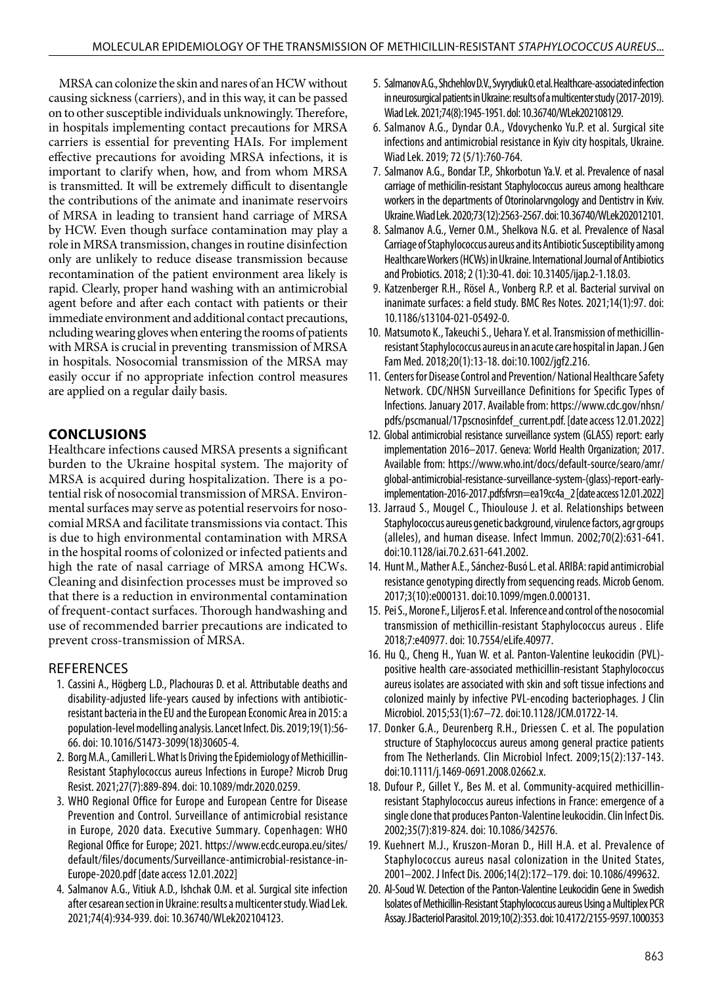MRSA can colonize the skin and nares of an HCW without causing sickness (carriers), and in this way, it can be passed on to other susceptible individuals unknowingly. Therefore, in hospitals implementing contact precautions for MRSA carriers is essential for preventing HAIs. For implement effective precautions for avoiding MRSA infections, it is important to clarify when, how, and from whom MRSA is transmitted. It will be extremely difficult to disentangle the contributions of the animate and inanimate reservoirs of MRSA in leading to transient hand carriage of MRSA by HCW. Even though surface contamination may play a role in MRSA transmission, changes in routine disinfection only are unlikely to reduce disease transmission because recontamination of the patient environment area likely is rapid. Clearly, proper hand washing with an antimicrobial agent before and after each contact with patients or their immediate environment and additional contact precautions, ncluding wearing gloves when entering the rooms of patients with MRSA is crucial in preventing transmission of MRSA in hospitals. Nosocomial transmission of the MRSA may easily occur if no appropriate infection control measures are applied on a regular daily basis.

# **CONCLUSIONS**

Healthcare infections caused MRSA presents a significant burden to the Ukraine hospital system. The majority of MRSA is acquired during hospitalization. There is a potential risk of nosocomial transmission of MRSA. Environmental surfaces may serve as potential reservoirs for nosocomial MRSA and facilitate transmissions via contact. This is due to high environmental contamination with MRSA in the hospital rooms of colonized or infected patients and high the rate of nasal carriage of MRSA among HCWs. Cleaning and disinfection processes must be improved so that there is a reduction in environmental contamination of frequent-contact surfaces. Thorough handwashing and use of recommended barrier precautions are indicated to prevent cross-transmission of MRSA.

#### **REFERENCES**

- 1. Cassini A., Högberg L.D., Plachouras D. et al. Attributable deaths and disability-adjusted life-years caused by infections with antibioticresistant bacteria in the EU and the European Economic Area in 2015: a population-level modelling analysis. Lancet Infect. Dis. 2019;19(1):56- 66. doi: 10.1016/S1473-3099(18)30605-4.
- 2. Borg M.A., Camilleri L. What Is Driving the Epidemiology of Methicillin-Resistant Staphylococcus aureus Infections in Europe? Microb Drug Resist. 2021;27(7):889-894. doi: 10.1089/mdr.2020.0259.
- 3. WHO Regional Office for Europe and European Centre for Disease Prevention and Control. Surveillance of antimicrobial resistance in Europe, 2020 data. Executive Summary. Copenhagen: WHO Regional Office for Europe; 2021. https://www.ecdc.europa.eu/sites/ default/files/documents/Surveillance-antimicrobial-resistance-in-Europe-2020.pdf [date access 12.01.2022]
- 4. Salmanov A.G., Vitiuk A.D., Ishchak O.M. et al. Surgical site infection after cesarean section in Ukraine: results a multicenter study. Wiad Lek. 2021;74(4):934-939. doi: 10.36740/WLek202104123.
- 5. Salmanov A.G., Shchehlov D.V., Svyrydiuk O. et al. Healthcare-associated infection in neurosurgical patients in Ukraine: results of a multicenter study (2017-2019). Wiad Lek. 2021;74(8):1945-1951. dol: 10.36740/WLek202108129.
- 6. Salmanov A.G., Dyndar O.A., Vdovychenko Yu.P. et al. Surgical site infections and antimicrobial resistance in Kyiv city hospitals, Ukraine. Wiad Lek. 2019; 72 (5/1):760-764.
- 7. Salmanov A.G., Bondar T.P., Shkorbotun Ya.V. et al. Prevalence of nasal carriage of methicilin-resistant Staphylococcus aureus among healthcare workers in the departments of Otorinolarvngology and Dentistrv in Kviv. Ukraine. Wiad Lek. 2020;73(12):2563-2567. doi: 10.36740/WLek202012101.
- 8. Salmanov A.G., Verner O.M., Shelkova N.G. et al. Prevalence of Nasal Carriage of Staphylococcus aureus and its Antibiotic Susceptibility among Healthcare Workers (HCWs) in Ukraine. International Journal of Antibiotics and Probiotics. 2018; 2 (1):30-41. doi: 10.31405/ijap.2-1.18.03.
- 9. Katzenberger R.H., Rösel A., Vonberg R.P. et al. Bacterial survival on inanimate surfaces: a field study. BMC Res Notes. 2021;14(1):97. doi: 10.1186/s13104-021-05492-0.
- 10. Matsumoto K., Takeuchi S., Uehara Y. et al. Transmission of methicillinresistant Staphylococcus aureus in an acute care hospital in Japan. J Gen Fam Med. 2018;20(1):13-18. doi:10.1002/jgf2.216.
- 11. Centers for Disease Control and Prevention/ National Healthcare Safety Network. CDC/NHSN Surveillance Definitions for Specific Types of Infections. January 2017. Available from: https://www.cdc.gov/nhsn/ pdfs/pscmanual/17pscnosinfdef\_current.pdf. [date access 12.01.2022]
- 12. Global antimicrobial resistance surveillance system (GLASS) report: early implementation 2016–2017. Geneva: World Health Organization; 2017. Available from: https://www.who.int/docs/default-source/searo/amr/ global-antimicrobial-resistance-surveillance-system-(glass)-report-earlyimplementation-2016-2017.pdfsfvrsn=ea19cc4a\_2 [date access 12.01.2022]
- 13. Jarraud S., Mougel C., Thioulouse J. et al. Relationships between Staphylococcus aureus genetic background, virulence factors, agr groups (alleles), and human disease. Infect Immun. 2002;70(2):631-641. doi:10.1128/iai.70.2.631-641.2002.
- 14. Hunt M., Mather A.E., Sánchez-Busó L. et al. ARIBA: rapid antimicrobial resistance genotyping directly from sequencing reads. Microb Genom. 2017;3(10):e000131. doi:10.1099/mgen.0.000131.
- 15. Pei S., Morone F., Liljeros F. et al. Inference and control of the nosocomial transmission of methicillin-resistant Staphylococcus aureus . Elife 2018;7:e40977. doi: 10.7554/eLife.40977.
- 16. Hu Q., Cheng H., Yuan W. et al. Panton-Valentine leukocidin (PVL) positive health care-associated methicillin-resistant Staphylococcus aureus isolates are associated with skin and soft tissue infections and colonized mainly by infective PVL-encoding bacteriophages. J Clin Microbiol. 2015;53(1):67–72. doi:10.1128/JCM.01722-14.
- 17. Donker G.A., Deurenberg R.H., Driessen C. et al. The population structure of Staphylococcus aureus among general practice patients from The Netherlands. Clin Microbiol Infect. 2009;15(2):137-143. doi:10.1111/j.1469-0691.2008.02662.x.
- 18. Dufour P., Gillet Y., Bes M. et al. Community-acquired methicillinresistant Staphylococcus aureus infections in France: emergence of a single clone that produces Panton-Valentine leukocidin. Clin Infect Dis. 2002;35(7):819-824. doi: 10.1086/342576.
- 19. Kuehnert M.J., Kruszon-Moran D., Hill H.A. et al. Prevalence of Staphylococcus aureus nasal colonization in the United States, 2001–2002. J Infect Dis. 2006;14(2):172–179. doi: 10.1086/499632.
- 20. Al-Soud W. Detection of the Panton-Valentine Leukocidin Gene in Swedish Isolates of Methicillin-Resistant Staphylococcus aureus Using a Multiplex PCR Assay. J Bacteriol Parasitol. 2019;10(2):353. doi: 10.4172/2155-9597.1000353